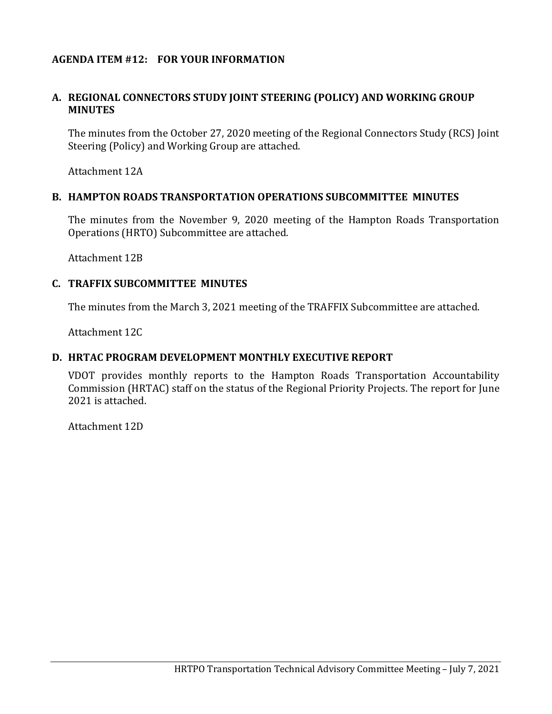# **AGENDA ITEM #12: FOR YOUR INFORMATION**

#### **A. REGIONAL CONNECTORS STUDY JOINT STEERING (POLICY) AND WORKING GROUP MINUTES**

The minutes from the October 27, 2020 meeting of the Regional Connectors Study (RCS) Joint Steering (Policy) and Working Group are attached.

Attachment 12A

#### **B. HAMPTON ROADS TRANSPORTATION OPERATIONS SUBCOMMITTEE MINUTES**

The minutes from the November 9, 2020 meeting of the Hampton Roads Transportation Operations (HRTO) Subcommittee are attached.

Attachment 12B

#### **C. TRAFFIX SUBCOMMITTEE MINUTES**

The minutes from the March 3, 2021 meeting of the TRAFFIX Subcommittee are attached.

Attachment 12C

#### **D. HRTAC PROGRAM DEVELOPMENT MONTHLY EXECUTIVE REPORT**

VDOT provides monthly reports to the Hampton Roads Transportation Accountability Commission (HRTAC) staff on the status of the Regional Priority Projects. The report for June 2021 is attached.

Attachment 12D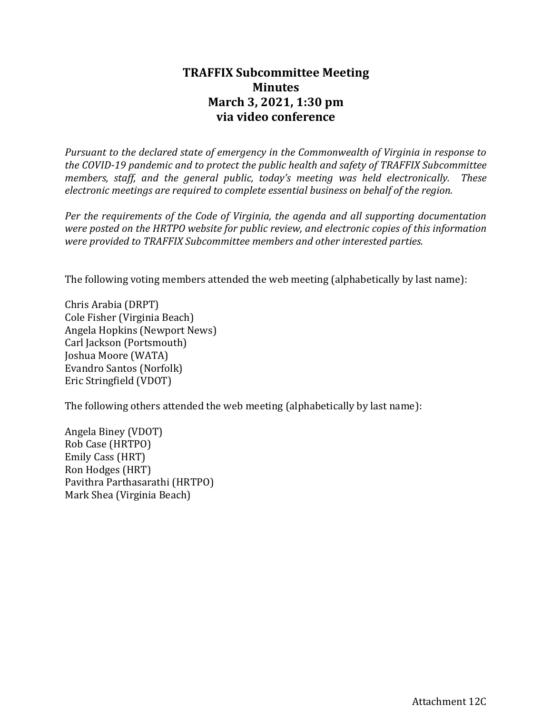# **TRAFFIX Subcommittee Meeting Minutes March 3, 2021, 1:30 pm via video conference**

*Pursuant to the declared state of emergency in the Commonwealth of Virginia in response to the COVID-19 pandemic and to protect the public health and safety of TRAFFIX Subcommittee members, staff, and the general public, today's meeting was held electronically. These electronic meetings are required to complete essential business on behalf of the region.*

*Per the requirements of the Code of Virginia, the agenda and all supporting documentation were posted on the HRTPO website for public review, and electronic copies of this information were provided to TRAFFIX Subcommittee members and other interested parties.*

The following voting members attended the web meeting (alphabetically by last name):

Chris Arabia (DRPT) Cole Fisher (Virginia Beach) Angela Hopkins (Newport News) Carl Jackson (Portsmouth) Joshua Moore (WATA) Evandro Santos (Norfolk) Eric Stringfield (VDOT)

The following others attended the web meeting (alphabetically by last name):

Angela Biney (VDOT) Rob Case (HRTPO) Emily Cass (HRT) Ron Hodges (HRT) Pavithra Parthasarathi (HRTPO) Mark Shea (Virginia Beach)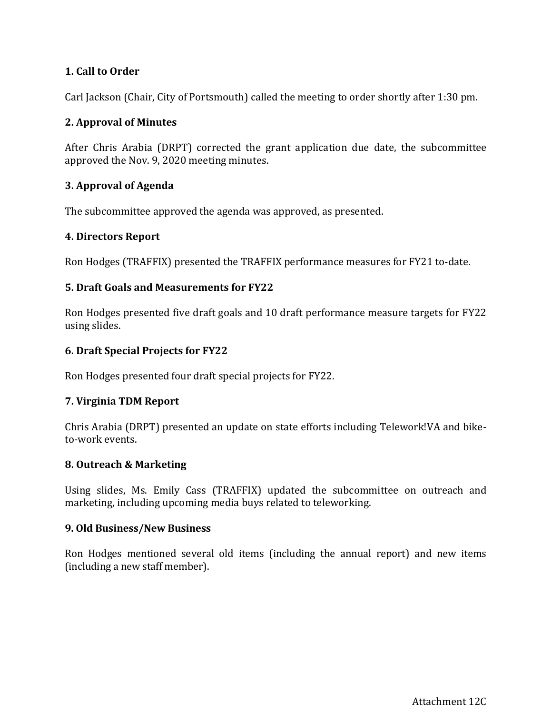# **1. Call to Order**

Carl Jackson (Chair, City of Portsmouth) called the meeting to order shortly after 1:30 pm.

# **2. Approval of Minutes**

After Chris Arabia (DRPT) corrected the grant application due date, the subcommittee approved the Nov. 9, 2020 meeting minutes.

# **3. Approval of Agenda**

The subcommittee approved the agenda was approved, as presented.

# **4. Directors Report**

Ron Hodges (TRAFFIX) presented the TRAFFIX performance measures for FY21 to-date.

# **5. Draft Goals and Measurements for FY22**

Ron Hodges presented five draft goals and 10 draft performance measure targets for FY22 using slides.

# **6. Draft Special Projects for FY22**

Ron Hodges presented four draft special projects for FY22.

#### **7. Virginia TDM Report**

Chris Arabia (DRPT) presented an update on state efforts including Telework!VA and biketo-work events.

#### **8. Outreach & Marketing**

Using slides, Ms. Emily Cass (TRAFFIX) updated the subcommittee on outreach and marketing, including upcoming media buys related to teleworking.

#### **9. Old Business/New Business**

Ron Hodges mentioned several old items (including the annual report) and new items (including a new staff member).